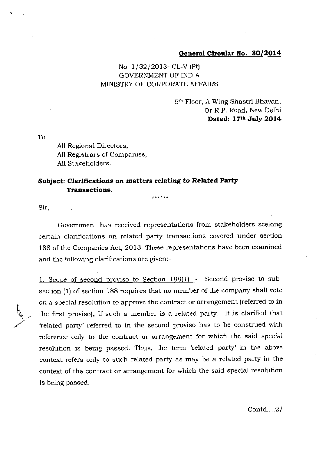## General Circular No, 3O/2O14

## No. 1/32/2013- CL-V (Pt) GOVERNMENT OF INDIA MINISTRY OF CORPORATE AFFAIRS

5<sup>th</sup> Floor, A Wing Shastri Bhavan, Dr R.P. Road, New Delhi Dated: 17th July 2014

To

All Regional Directors,

All Registrars of Companies,

All Stakeholders.

## Subject: Clarifications on matters relating to Related Party Transactions.

\*\*\*\*\*\*

Sir,

y,

Government has received representations from stakeholders seeking certain clarifications on related party transactions covered under section 188 of the Companies Act, 2013. These representatlons have been examined and the following clarifications are given:-

1. Scope of second proviso to Section  $188(1)$  :- Second proviso to subsection (1) of section 188 requires that no member of the company shall vote on a special resolution to approve the contract or arrangement (referred to in the first proviso), if such a member is a related patty. It is clarified that 'related party' referred to in the second proviso has to be construed with reference only to the contract or arrangement for which the said special resolution is being passed. Thus, the term'related party' in the above context refers only to such related party as may be a related party in the context of the contract or arrangement for which the said special resolution is being passed.

 $Contd...2/$